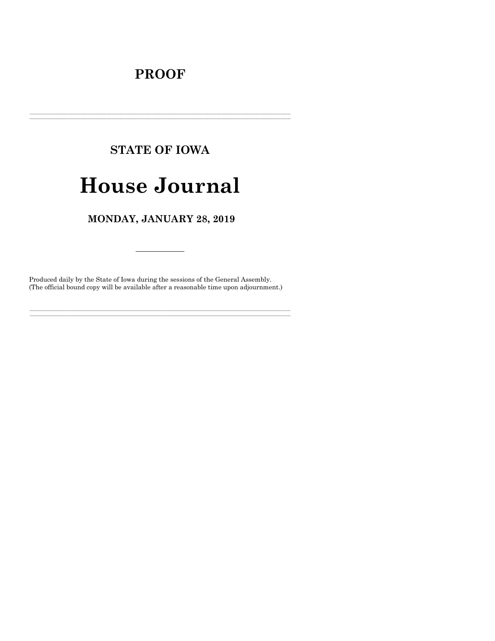# **PROOF**

# **STATE OF IOWA**

# **House Journal**

## MONDAY, JANUARY 28, 2019

Produced daily by the State of Iowa during the sessions of the General Assembly. (The official bound copy will be available after a reasonable time upon adjournment.)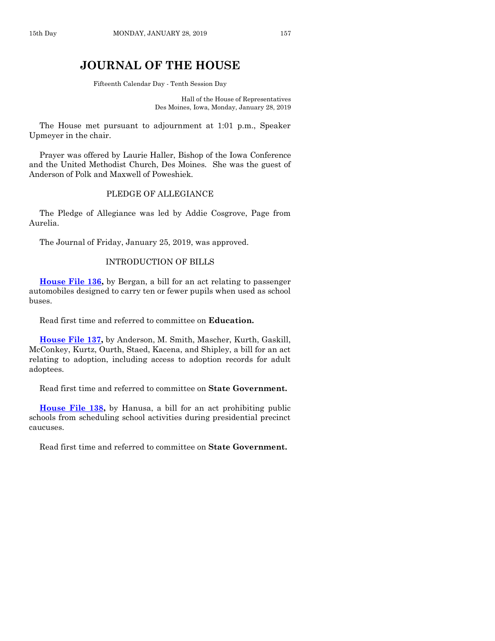## **JOURNAL OF THE HOUSE**

Fifteenth Calendar Day - Tenth Session Day

Hall of the House of Representatives Des Moines, Iowa, Monday, January 28, 2019

The House met pursuant to adjournment at 1:01 p.m., Speaker Upmeyer in the chair.

Prayer was offered by Laurie Haller, Bishop of the Iowa Conference and the United Methodist Church, Des Moines. She was the guest of Anderson of Polk and Maxwell of Poweshiek.

## PLEDGE OF ALLEGIANCE

The Pledge of Allegiance was led by Addie Cosgrove, Page from Aurelia.

The Journal of Friday, January 25, 2019, was approved.

#### INTRODUCTION OF BILLS

**[House File 136,](https://www.legis.iowa.gov/legislation/BillBook?ga=88&ba=HF136)** by Bergan, a bill for an act relating to passenger automobiles designed to carry ten or fewer pupils when used as school buses.

Read first time and referred to committee on **Education.**

**[House File](https://www.legis.iowa.gov/legislation/BillBook?ga=88&ba=HF137) 137,** by Anderson, M. Smith, Mascher, Kurth, Gaskill, McConkey, Kurtz, Ourth, Staed, Kacena, and Shipley, a bill for an act relating to adoption, including access to adoption records for adult adoptees.

Read first time and referred to committee on **State Government.**

**[House File 138,](https://www.legis.iowa.gov/legislation/BillBook?ga=88&ba=HF138)** by Hanusa, a bill for an act prohibiting public schools from scheduling school activities during presidential precinct caucuses.

Read first time and referred to committee on **State Government.**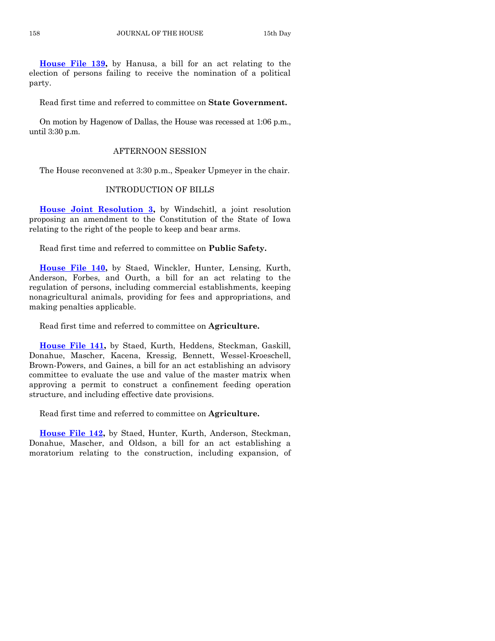**[House File 139,](https://www.legis.iowa.gov/legislation/BillBook?ga=88&ba=HF139)** by Hanusa, a bill for an act relating to the election of persons failing to receive the nomination of a political party.

Read first time and referred to committee on **State Government.**

On motion by Hagenow of Dallas, the House was recessed at 1:06 p.m., until 3:30 p.m.

## AFTERNOON SESSION

The House reconvened at 3:30 p.m., Speaker Upmeyer in the chair.

#### INTRODUCTION OF BILLS

**[House Joint Resolution 3,](https://www.legis.iowa.gov/legislation/BillBook?ga=88&ba=HJR3)** by Windschitl, a joint resolution proposing an amendment to the Constitution of the State of Iowa relating to the right of the people to keep and bear arms.

Read first time and referred to committee on **Public Safety.**

**[House File 140,](https://www.legis.iowa.gov/legislation/BillBook?ga=88&ba=HF140)** by Staed, Winckler, Hunter, Lensing, Kurth, Anderson, Forbes, and Ourth, a bill for an act relating to the regulation of persons, including commercial establishments, keeping nonagricultural animals, providing for fees and appropriations, and making penalties applicable.

Read first time and referred to committee on **Agriculture.**

**[House File 141,](https://www.legis.iowa.gov/legislation/BillBook?ga=88&ba=HF141)** by Staed, Kurth, Heddens, Steckman, Gaskill, Donahue, Mascher, Kacena, Kressig, Bennett, Wessel-Kroeschell, Brown-Powers, and Gaines, a bill for an act establishing an advisory committee to evaluate the use and value of the master matrix when approving a permit to construct a confinement feeding operation structure, and including effective date provisions.

Read first time and referred to committee on **Agriculture.**

**[House File 142,](https://www.legis.iowa.gov/legislation/BillBook?ga=88&ba=HF142)** by Staed, Hunter, Kurth, Anderson, Steckman, Donahue, Mascher, and Oldson, a bill for an act establishing a moratorium relating to the construction, including expansion, of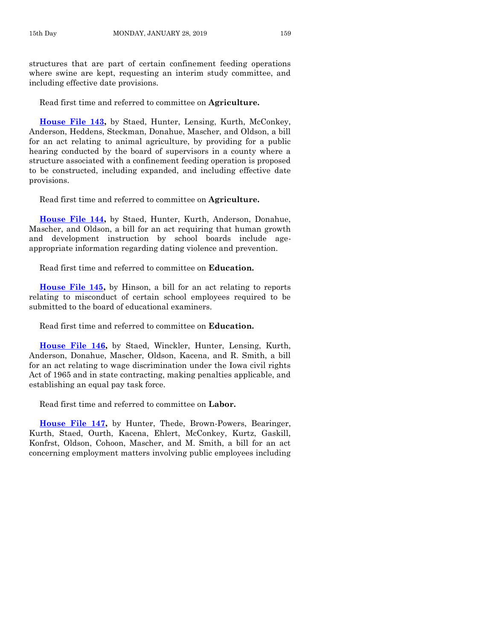structures that are part of certain confinement feeding operations where swine are kept, requesting an interim study committee, and including effective date provisions.

Read first time and referred to committee on **Agriculture.**

**[House File 143,](https://www.legis.iowa.gov/legislation/BillBook?ga=88&ba=HF143)** by Staed, Hunter, Lensing, Kurth, McConkey, Anderson, Heddens, Steckman, Donahue, Mascher, and Oldson, a bill for an act relating to animal agriculture, by providing for a public hearing conducted by the board of supervisors in a county where a structure associated with a confinement feeding operation is proposed to be constructed, including expanded, and including effective date provisions.

Read first time and referred to committee on **Agriculture.**

**[House File 144,](https://www.legis.iowa.gov/legislation/BillBook?ga=88&ba=HF144)** by Staed, Hunter, Kurth, Anderson, Donahue, Mascher, and Oldson, a bill for an act requiring that human growth and development instruction by school boards include ageappropriate information regarding dating violence and prevention.

Read first time and referred to committee on **Education.**

**[House File 145,](https://www.legis.iowa.gov/legislation/BillBook?ga=88&ba=HF145)** by Hinson, a bill for an act relating to reports relating to misconduct of certain school employees required to be submitted to the board of educational examiners.

Read first time and referred to committee on **Education.**

**[House File 146,](https://www.legis.iowa.gov/legislation/BillBook?ga=88&ba=HF146)** by Staed, Winckler, Hunter, Lensing, Kurth, Anderson, Donahue, Mascher, Oldson, Kacena, and R. Smith, a bill for an act relating to wage discrimination under the Iowa civil rights Act of 1965 and in state contracting, making penalties applicable, and establishing an equal pay task force.

Read first time and referred to committee on **Labor.**

**[House File 147,](https://www.legis.iowa.gov/legislation/BillBook?ga=88&ba=HF147)** by Hunter, Thede, Brown-Powers, Bearinger, Kurth, Staed, Ourth, Kacena, Ehlert, McConkey, Kurtz, Gaskill, Konfrst, Oldson, Cohoon, Mascher, and M. Smith, a bill for an act concerning employment matters involving public employees including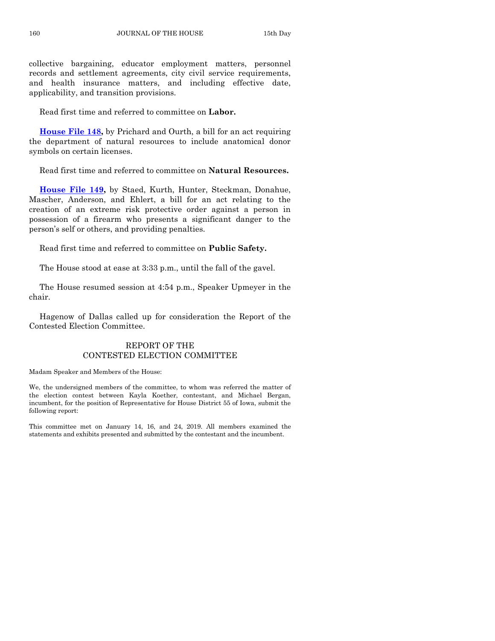collective bargaining, educator employment matters, personnel records and settlement agreements, city civil service requirements, and health insurance matters, and including effective date, applicability, and transition provisions.

Read first time and referred to committee on **Labor.**

**[House File 148,](https://www.legis.iowa.gov/legislation/BillBook?ga=88&ba=HF148)** by Prichard and Ourth, a bill for an act requiring the department of natural resources to include anatomical donor symbols on certain licenses.

Read first time and referred to committee on **Natural Resources.**

**[House File 149,](https://www.legis.iowa.gov/legislation/BillBook?ga=88&ba=HF149)** by Staed, Kurth, Hunter, Steckman, Donahue, Mascher, Anderson, and Ehlert, a bill for an act relating to the creation of an extreme risk protective order against a person in possession of a firearm who presents a significant danger to the person's self or others, and providing penalties.

Read first time and referred to committee on **Public Safety.**

The House stood at ease at 3:33 p.m., until the fall of the gavel.

The House resumed session at 4:54 p.m., Speaker Upmeyer in the chair.

Hagenow of Dallas called up for consideration the Report of the Contested Election Committee.

## REPORT OF THE CONTESTED ELECTION COMMITTEE

Madam Speaker and Members of the House:

We, the undersigned members of the committee, to whom was referred the matter of the election contest between Kayla Koether, contestant, and Michael Bergan, incumbent, for the position of Representative for House District 55 of Iowa, submit the following report:

This committee met on January 14, 16, and 24, 2019. All members examined the statements and exhibits presented and submitted by the contestant and the incumbent.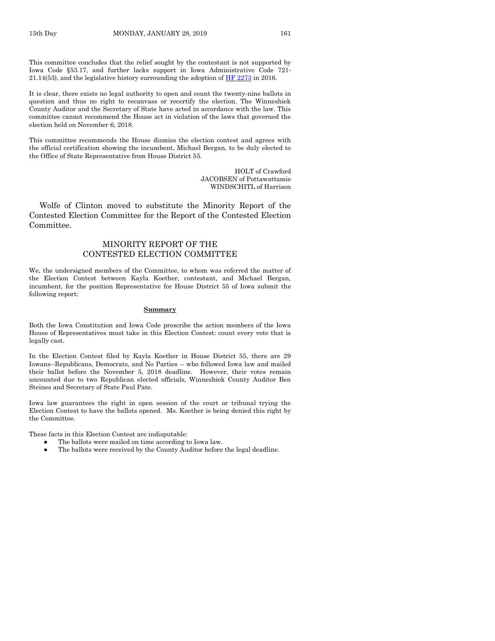This committee concludes that the relief sought by the contestant is not supported by Iowa Code §53.17, and further lacks support in Iowa Administrative Code 721- 21.14(53), and the legislative history surrounding the adoption of [HF 2273](https://www.legis.iowa.gov/legislation/BillBook?ga=88&ba=HF2273) in 2016.

It is clear, there exists no legal authority to open and count the twenty-nine ballots in question and thus no right to recanvass or recertify the election. The Winneshiek County Auditor and the Secretary of State have acted in accordance with the law. This committee cannot recommend the House act in violation of the laws that governed the election held on November 6, 2018.

This committee recommends the House dismiss the election contest and agrees with the official certification showing the incumbent, Michael Bergan, to be duly elected to the Office of State Representative from House District 55.

> HOLT of Crawford JACOBSEN of Pottawattamie WINDSCHITL of Harrison

Wolfe of Clinton moved to substitute the Minority Report of the Contested Election Committee for the Report of the Contested Election Committee.

### MINORITY REPORT OF THE CONTESTED ELECTION COMMITTEE

We, the undersigned members of the Committee, to whom was referred the matter of the Election Contest between Kayla Koether, contestant, and Michael Bergan, incumbent, for the position Representative for House District 55 of Iowa submit the following report:

#### **Summary**

Both the Iowa Constitution and Iowa Code prescribe the action members of the Iowa House of Representatives must take in this Election Contest: count every vote that is legally cast.

In the Election Contest filed by Kayla Koether in House District 55, there are 29 Iowans--Republicans, Democrats, and No Parties -- who followed Iowa law and mailed their ballot before the November 5, 2018 deadline. However, their votes remain uncounted due to two Republican elected officials, Winneshiek County Auditor Ben Steines and Secretary of State Paul Pate.

Iowa law guarantees the right in open session of the court or tribunal trying the Election Contest to have the ballots opened. Ms. Koether is being denied this right by the Committee.

These facts in this Election Contest are indisputable:

- The ballots were mailed on time according to Iowa law.
- The ballots were received by the County Auditor before the legal deadline.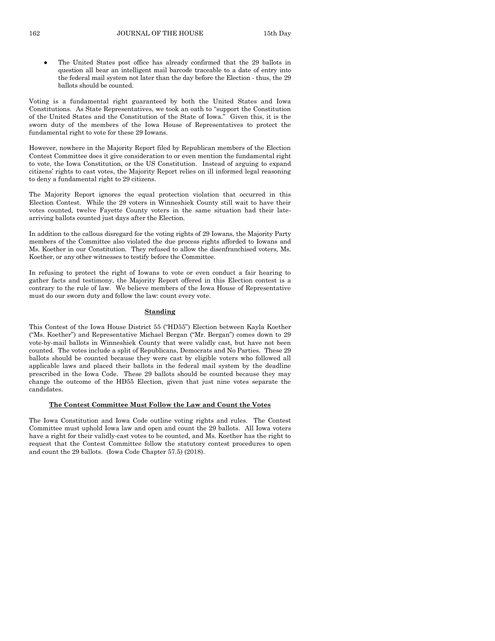The United States post office has already confirmed that the 29 ballots in question all bear an intelligent mail barcode traceable to a date of entry into the federal mail system not later than the day before the Election - thus, the 29 ballots should be counted.

Voting is a fundamental right guaranteed by both the United States and Iowa Constitutions. As State Representatives, we took an oath to "support the Constitution of the United States and the Constitution of the State of Iowa." Given this, it is the sworn duty of the members of the Iowa House of Representatives to protect the fundamental right to vote for these 29 Iowans.

However, nowhere in the Majority Report filed by Republican members of the Election Contest Committee does it give consideration to or even mention the fundamental right to vote, the Iowa Constitution, or the US Constitution. Instead of arguing to expand citizens' rights to cast votes, the Majority Report relies on ill informed legal reasoning to deny a fundamental right to 29 citizens.

The Majority Report ignores the equal protection violation that occurred in this Election Contest. While the 29 voters in Winneshiek County still wait to have their votes counted, twelve Fayette County voters in the same situation had their latearriving ballots counted just days after the Election.

In addition to the callous disregard for the voting rights of 29 Iowans, the Majority Party members of the Committee also violated the due process rights afforded to Iowans and Ms. Koether in our Constitution. They refused to allow the disenfranchised voters, Ms. Koether, or any other witnesses to testify before the Committee.

In refusing to protect the right of Iowans to vote or even conduct a fair hearing to gather facts and testimony, the Majority Report offered in this Election contest is a contrary to the rule of law. We believe members of the Iowa House of Representative must do our sworn duty and follow the law: count every vote.

#### **Standing**

This Contest of the Iowa House District 55 ("HD55") Election between Kayla Koether ("Ms. Koether") and Representative Michael Bergan ("Mr. Bergan") comes down to 29 vote-by-mail ballots in Winneshiek County that were validly cast, but have not been counted. The votes include a split of Republicans, Democrats and No Parties. These 29 ballots should be counted because they were cast by eligible voters who followed all applicable laws and placed their ballots in the federal mail system by the deadline prescribed in the Iowa Code. These 29 ballots should be counted because they may change the outcome of the HD55 Election, given that just nine votes separate the candidates.

#### **The Contest Committee Must Follow the Law and Count the Votes**

The Iowa Constitution and Iowa Code outline voting rights and rules. The Contest Committee must uphold Iowa law and open and count the 29 ballots. All Iowa voters have a right for their validly-cast votes to be counted, and Ms. Koether has the right to request that the Contest Committee follow the statutory contest procedures to open and count the 29 ballots. (Iowa Code Chapter 57.5) (2018).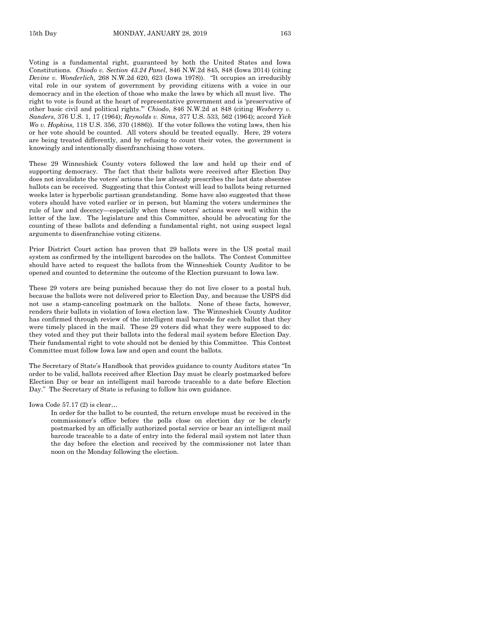Voting is a fundamental right, guaranteed by both the United States and Iowa Constitutions. *Chiodo v. Section 43.24 Panel*, 846 N.W.2d 845, 848 (Iowa 2014) (citing *Devine v. Wonderlich,* 268 N.W.2d 620, 623 (Iowa 1978)). "It occupies an irreducibly vital role in our system of government by providing citizens with a voice in our democracy and in the election of those who make the laws by which all must live. The right to vote is found at the heart of representative government and is 'preservative of other basic civil and political rights.'" *Chiodo*, 846 N.W.2d at 848 (citing *Wesberry v. Sanders*, 376 U.S. 1, 17 (1964); *Reynolds v. Sims*, 377 U.S. 533, 562 (1964); accord *Yick Wo v. Hopkins,* 118 U.S. 356, 370 (1886)). If the voter follows the voting laws, then his or her vote should be counted. All voters should be treated equally. Here, 29 voters are being treated differently, and by refusing to count their votes, the government is knowingly and intentionally disenfranchising those voters.

These 29 Winneshiek County voters followed the law and held up their end of supporting democracy. The fact that their ballots were received after Election Day does not invalidate the voters' actions the law already prescribes the last date absentee ballots can be received. Suggesting that this Contest will lead to ballots being returned weeks later is hyperbolic partisan grandstanding. Some have also suggested that these voters should have voted earlier or in person, but blaming the voters undermines the rule of law and decency—especially when these voters' actions were well within the letter of the law. The legislature and this Committee, should be advocating for the counting of these ballots and defending a fundamental right, not using suspect legal arguments to disenfranchise voting citizens.

Prior District Court action has proven that 29 ballots were in the US postal mail system as confirmed by the intelligent barcodes on the ballots. The Contest Committee should have acted to request the ballots from the Winneshiek County Auditor to be opened and counted to determine the outcome of the Election pursuant to Iowa law.

These 29 voters are being punished because they do not live closer to a postal hub, because the ballots were not delivered prior to Election Day, and because the USPS did not use a stamp-canceling postmark on the ballots. None of these facts, however, renders their ballots in violation of Iowa election law. The Winneshiek County Auditor has confirmed through review of the intelligent mail barcode for each ballot that they were timely placed in the mail. These 29 voters did what they were supposed to do: they voted and they put their ballots into the federal mail system before Election Day. Their fundamental right to vote should not be denied by this Committee. This Contest Committee must follow Iowa law and open and count the ballots.

The Secretary of State's Handbook that provides guidance to county Auditors states "In order to be valid, ballots received after Election Day must be clearly postmarked before Election Day or bear an intelligent mail barcode traceable to a date before Election Day." The Secretary of State is refusing to follow his own guidance.

Iowa Code 57.17 (2) is clear…

In order for the ballot to be counted, the return envelope must be received in the commissioner's office before the polls close on election day or be clearly postmarked by an officially authorized postal service or bear an intelligent mail barcode traceable to a date of entry into the federal mail system not later than the day before the election and received by the commissioner not later than noon on the Monday following the election.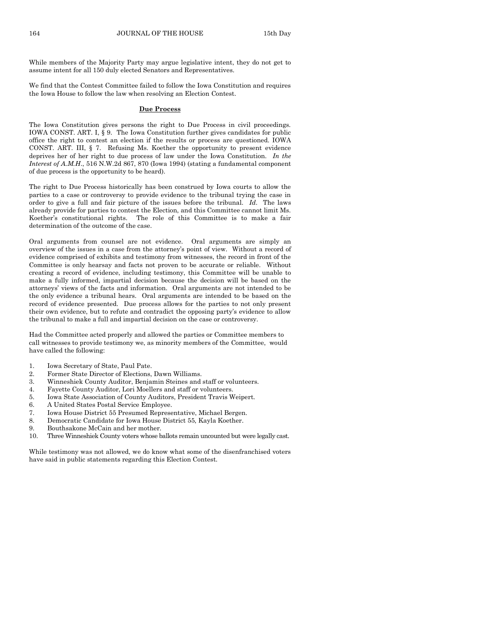While members of the Majority Party may argue legislative intent, they do not get to assume intent for all 150 duly elected Senators and Representatives.

We find that the Contest Committee failed to follow the Iowa Constitution and requires the Iowa House to follow the law when resolving an Election Contest.

#### **Due Process**

The Iowa Constitution gives persons the right to Due Process in civil proceedings. IOWA CONST. ART. I, § 9. The Iowa Constitution further gives candidates for public office the right to contest an election if the results or process are questioned. IOWA CONST. ART. III, § 7. Refusing Ms. Koether the opportunity to present evidence deprives her of her right to due process of law under the Iowa Constitution. *In the Interest of A.M.H*., 516 N.W.2d 867, 870 (Iowa 1994) (stating a fundamental component of due process is the opportunity to be heard).

The right to Due Process historically has been construed by Iowa courts to allow the parties to a case or controversy to provide evidence to the tribunal trying the case in order to give a full and fair picture of the issues before the tribunal. *Id*. The laws already provide for parties to contest the Election, and this Committee cannot limit Ms. Koether's constitutional rights. The role of this Committee is to make a fair determination of the outcome of the case.

Oral arguments from counsel are not evidence. Oral arguments are simply an overview of the issues in a case from the attorney's point of view. Without a record of evidence comprised of exhibits and testimony from witnesses, the record in front of the Committee is only hearsay and facts not proven to be accurate or reliable. Without creating a record of evidence, including testimony, this Committee will be unable to make a fully informed, impartial decision because the decision will be based on the attorneys' views of the facts and information. Oral arguments are not intended to be the only evidence a tribunal hears. Oral arguments are intended to be based on the record of evidence presented. Due process allows for the parties to not only present their own evidence, but to refute and contradict the opposing party's evidence to allow the tribunal to make a full and impartial decision on the case or controversy.

Had the Committee acted properly and allowed the parties or Committee members to call witnesses to provide testimony we, as minority members of the Committee, would have called the following:

- 1. Iowa Secretary of State, Paul Pate.
- 2. Former State Director of Elections, Dawn Williams.
- 3. Winneshiek County Auditor, Benjamin Steines and staff or volunteers.
- 4. Fayette County Auditor, Lori Moellers and staff or volunteers.
- 5. Iowa State Association of County Auditors, President Travis Weipert.
- 6. A United States Postal Service Employee.
- 7. Iowa House District 55 Presumed Representative, Michael Bergen.
- 8. Democratic Candidate for Iowa House District 55, Kayla Koether.
- 9. Bouthsakone McCain and her mother.
- 10. Three Winneshiek County voters whose ballots remain uncounted but were legally cast.

While testimony was not allowed, we do know what some of the disenfranchised voters have said in public statements regarding this Election Contest.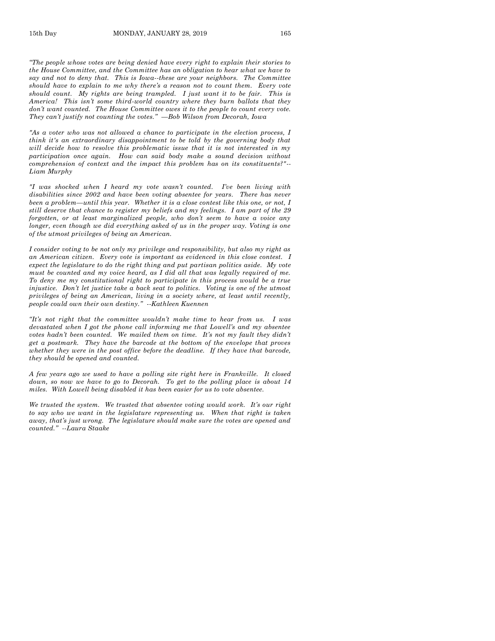*"The people whose votes are being denied have every right to explain their stories to the House Committee, and the Committee has an obligation to hear what we have to say and not to deny that. This is Iowa--these are your neighbors. The Committee should have to explain to me why there's a reason not to count them. Every vote should count. My rights are being trampled. I just want it to be fair. This is America! This isn't some third-world country where they burn ballots that they don't want counted. The House Committee owes it to the people to count every vote. They can't justify not counting the votes." —Bob Wilson from Decorah, Iowa*

*"As a voter who was not allowed a chance to participate in the election process, I think it's an extraordinary disappointment to be told by the governing body that will decide how to resolve this problematic issue that it is not interested in my participation once again. How can said body make a sound decision without comprehension of context and the impact this problem has on its constituents?" -- Liam Murphy* 

*"I was shocked when I heard my vote wasn't counted. I've been living with disabilities since 2002 and have been voting absentee for years. There has never been a problem—until this year. Whether it is a close contest like this one, or not, I still deserve that chance to register my beliefs and my feelings. I am part of the 29 forgotten, or at least marginalized people, who don't seem to have a voice any longer, even though we did everything asked of us in the proper way. Voting is one of the utmost privileges of being an American.* 

*I consider voting to be not only my privilege and responsibility, but also my right as an American citizen. Every vote is important as evidenced in this close contest. I expect the legislature to do the right thing and put partisan politics aside. My vote must be counted and my voice heard, as I did all that was legally required of me. To deny me my constitutional right to participate in this process would be a true injustice. Don't let justice take a back seat to politics. Voting is one of the utmost privileges of being an American, living in a society where, at least until recently, people could own their own destiny." --Kathleen Kuennen*

*"It's not right that the committee wouldn't make time to hear from us. I was devastated when I got the phone call informing me that Lowell's and my absentee votes hadn't been counted. We mailed them on time. It's not my fault they didn't get a postmark. They have the barcode at the bottom of the envelope that proves whether they were in the post office before the deadline. If they have that barcode, they should be opened and counted.*

*A few years ago we used to have a polling site right here in Frankville. It closed down, so now we have to go to Decorah. To get to the polling place is about 14 miles. With Lowell being disabled it has been easier for us to vote absentee.*

*We trusted the system. We trusted that absentee voting would work. It's our right to say who we want in the legislature representing us. When that right is taken away, that's just wrong. The legislature should make sure the votes are opened and counted." --Laura Staake*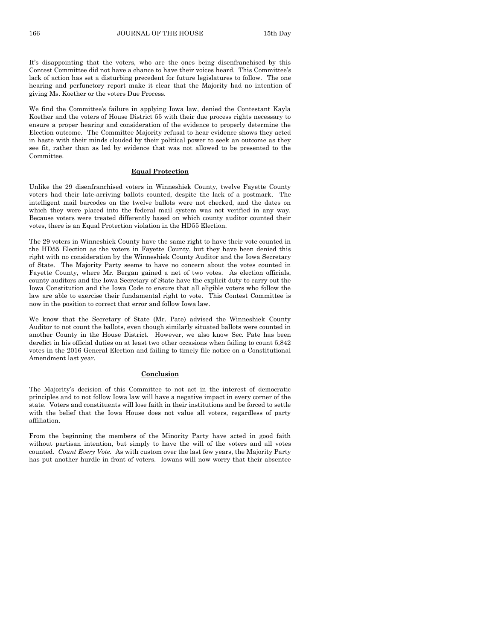166 JOURNAL OF THE HOUSE 15th Day

It's disappointing that the voters, who are the ones being disenfranchised by this Contest Committee did not have a chance to have their voices heard. This Committee's lack of action has set a disturbing precedent for future legislatures to follow. The one hearing and perfunctory report make it clear that the Majority had no intention of giving Ms. Koether or the voters Due Process.

We find the Committee's failure in applying Iowa law, denied the Contestant Kayla Koether and the voters of House District 55 with their due process rights necessary to ensure a proper hearing and consideration of the evidence to properly determine the Election outcome. The Committee Majority refusal to hear evidence shows they acted in haste with their minds clouded by their political power to seek an outcome as they see fit, rather than as led by evidence that was not allowed to be presented to the Committee.

#### **Equal Protection**

Unlike the 29 disenfranchised voters in Winneshiek County, twelve Fayette County voters had their late-arriving ballots counted, despite the lack of a postmark. The intelligent mail barcodes on the twelve ballots were not checked, and the dates on which they were placed into the federal mail system was not verified in any way. Because voters were treated differently based on which county auditor counted their votes, there is an Equal Protection violation in the HD55 Election.

The 29 voters in Winneshiek County have the same right to have their vote counted in the HD55 Election as the voters in Fayette County, but they have been denied this right with no consideration by the Winneshiek County Auditor and the Iowa Secretary of State. The Majority Party seems to have no concern about the votes counted in Fayette County, where Mr. Bergan gained a net of two votes. As election officials, county auditors and the Iowa Secretary of State have the explicit duty to carry out the Iowa Constitution and the Iowa Code to ensure that all eligible voters who follow the law are able to exercise their fundamental right to vote. This Contest Committee is now in the position to correct that error and follow Iowa law.

We know that the Secretary of State (Mr. Pate) advised the Winneshiek County Auditor to not count the ballots, even though similarly situated ballots were counted in another County in the House District. However, we also know Sec. Pate has been derelict in his official duties on at least two other occasions when failing to count 5,842 votes in the 2016 General Election and failing to timely file notice on a Constitutional Amendment last year.

#### **Conclusion**

The Majority's decision of this Committee to not act in the interest of democratic principles and to not follow Iowa law will have a negative impact in every corner of the state. Voters and constituents will lose faith in their institutions and be forced to settle with the belief that the Iowa House does not value all voters, regardless of party affiliation.

From the beginning the members of the Minority Party have acted in good faith without partisan intention, but simply to have the will of the voters and all votes counted. *Count Every Vote.* As with custom over the last few years, the Majority Party has put another hurdle in front of voters. Iowans will now worry that their absentee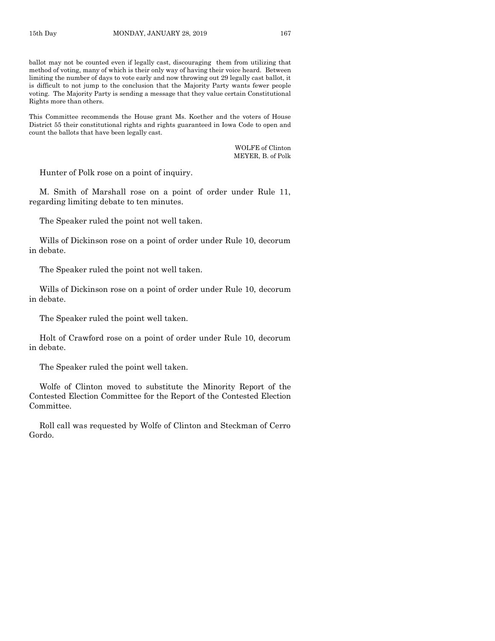ballot may not be counted even if legally cast, discouraging them from utilizing that method of voting, many of which is their only way of having their voice heard. Between limiting the number of days to vote early and now throwing out 29 legally cast ballot, it is difficult to not jump to the conclusion that the Majority Party wants fewer people voting. The Majority Party is sending a message that they value certain Constitutional Rights more than others.

This Committee recommends the House grant Ms. Koether and the voters of House District 55 their constitutional rights and rights guaranteed in Iowa Code to open and count the ballots that have been legally cast.

> WOLFE of Clinton MEYER, B. of Polk

Hunter of Polk rose on a point of inquiry.

M. Smith of Marshall rose on a point of order under Rule 11, regarding limiting debate to ten minutes.

The Speaker ruled the point not well taken.

Wills of Dickinson rose on a point of order under Rule 10, decorum in debate.

The Speaker ruled the point not well taken.

Wills of Dickinson rose on a point of order under Rule 10, decorum in debate.

The Speaker ruled the point well taken.

Holt of Crawford rose on a point of order under Rule 10, decorum in debate.

The Speaker ruled the point well taken.

Wolfe of Clinton moved to substitute the Minority Report of the Contested Election Committee for the Report of the Contested Election Committee.

Roll call was requested by Wolfe of Clinton and Steckman of Cerro Gordo.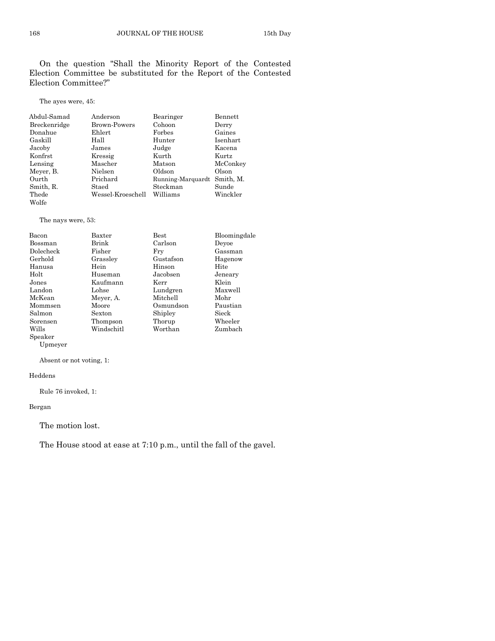On the question "Shall the Minority Report of the Contested Election Committee be substituted for the Report of the Contested Election Committee?"

The ayes were, 45:

| Abdul-Samad  | Anderson          | Bearinger                   | Bennett  |
|--------------|-------------------|-----------------------------|----------|
| Breckenridge | Brown-Powers      | Cohoon                      | Derry    |
| Donahue      | $E$ hlert         | Forbes                      | Gaines   |
| Gaskill      | Hall              | Hunter                      | Isenhart |
| Jacoby       | James             | Judge                       | Kacena   |
| Konfrst      | Kressig           | Kurth                       | Kurtz    |
| Lensing      | Mascher           | Matson                      | McConkey |
| Meyer, B.    | Nielsen           | Oldson                      | Olson    |
| Ourth        | Prichard          | Running-Marquardt Smith, M. |          |
| Smith, R.    | Staed             | Steckman                    | Sunde    |
| Thede        | Wessel-Kroeschell | Williams                    | Winckler |
| Wolfe        |                   |                             |          |

The nays were, 53:

| Bacon     | Baxter     | <b>Best</b> | Bloomingdale |
|-----------|------------|-------------|--------------|
| Bossman   | Brink      | Carlson     | Devoe        |
| Dolecheck | Fisher     | Frv         | Gassman      |
| Gerhold   | Grassley   | Gustafson   | Hagenow      |
| Hanusa    | Hein       | Hinson      | Hite         |
| Holt      | Huseman    | Jacobsen    | Jeneary      |
| Jones     | Kaufmann   | Kerr        | Klein        |
| Landon    | Lohse      | Lundgren    | Maxwell      |
| McKean    | Meyer, A.  | Mitchell    | Mohr         |
| Mommsen   | Moore      | Osmundson   | Paustian     |
| Salmon    | Sexton     | Shipley     | Sieck        |
| Sorensen  | Thompson   | Thorup      | Wheeler      |
| Wills     | Windschitl | Worthan     | Zumbach      |
| Speaker   |            |             |              |

Upmeyer

Absent or not voting, 1:

#### Heddens

Rule 76 invoked, 1:

Bergan

The motion lost.

The House stood at ease at 7:10 p.m., until the fall of the gavel.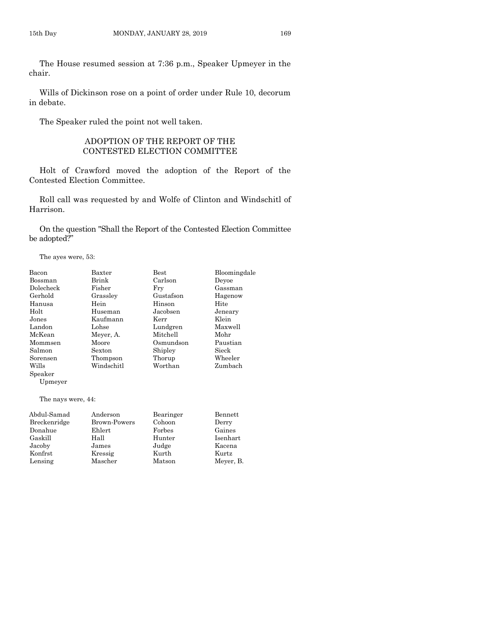The House resumed session at 7:36 p.m., Speaker Upmeyer in the chair.

Wills of Dickinson rose on a point of order under Rule 10, decorum in debate.

The Speaker ruled the point not well taken.

## ADOPTION OF THE REPORT OF THE CONTESTED ELECTION COMMITTEE

Holt of Crawford moved the adoption of the Report of the Contested Election Committee.

Roll call was requested by and Wolfe of Clinton and Windschitl of Harrison.

On the question "Shall the Report of the Contested Election Committee be adopted?"

The ayes were, 53:

| Bacon              | Baxter     | <b>Best</b> | Bloomingdale |
|--------------------|------------|-------------|--------------|
| Bossman            | Brink      | Carlson     | Devoe        |
| Dolecheck          | Fisher     | Fry         | Gassman      |
| Gerhold            | Grassley   | Gustafson   | Hagenow      |
| Hanusa             | Hein       | Hinson      | Hite         |
| $_{\rm Holt}$      | Huseman    | Jacobsen    | Jeneary      |
| Jones              | Kaufmann   | Kerr        | Klein        |
| Landon             | Lohse      | Lundgren    | Maxwell      |
| McKean             | Meyer, A.  | Mitchell    | Mohr         |
| Mommsen            | Moore      | Osmundson   | Paustian     |
| Salmon             | Sexton     | Shipley     | Sieck        |
| Sorensen           | Thompson   | Thorup      | Wheeler      |
| Wills              | Windschitl | Worthan     | Zumbach      |
| Speaker            |            |             |              |
| Upmeyer            |            |             |              |
| The nays were, 44: |            |             |              |

| Abdul-Samad  | Anderson     | Bearinger | Bennett   |
|--------------|--------------|-----------|-----------|
| Breckenridge | Brown-Powers | Cohoon    | Derry     |
| Donahue      | Ehlert       | Forbes    | Gaines    |
| Gaskill      | Hall         | Hunter    | Isenhart  |
| Jacoby       | James        | Judge     | Kacena    |
| Konfrst      | Kressig      | Kurth     | Kurtz     |
| Lensing      | Mascher      | Matson    | Meyer, B. |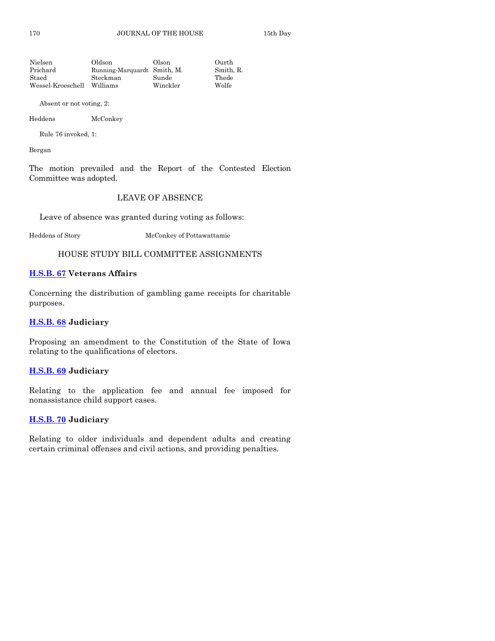| Oldson   | Olson    | Ourth                       |
|----------|----------|-----------------------------|
|          |          | Smith, R.                   |
| Steckman | Sunde    | Thede                       |
| Williams | Winckler | Wolfe                       |
|          |          | Running-Marquardt Smith, M. |

Absent or not voting, 2:

Heddens McConkey

Rule 76 invoked, 1:

Bergan

The motion prevailed and the Report of the Contested Election Committee was adopted.

## LEAVE OF ABSENCE

Leave of absence was granted during voting as follows:

Heddens of Story McConkey of Pottawattamie

HOUSE STUDY BILL COMMITTEE ASSIGNMENTS

#### **[H.S.B. 67](https://www.legis.iowa.gov/legislation/BillBook?ga=88&ba=HSB67) Veterans Affairs**

Concerning the distribution of gambling game receipts for charitable purposes.

## **[H.S.B. 68](https://www.legis.iowa.gov/legislation/BillBook?ga=88&ba=HSB68) Judiciary**

Proposing an amendment to the Constitution of the State of Iowa relating to the qualifications of electors.

#### **[H.S.B. 69](https://www.legis.iowa.gov/legislation/BillBook?ga=88&ba=HSB69) Judiciary**

Relating to the application fee and annual fee imposed for nonassistance child support cases.

#### **[H.S.B. 70](https://www.legis.iowa.gov/legislation/BillBook?ga=88&ba=HSB70) Judiciary**

Relating to older individuals and dependent adults and creating certain criminal offenses and civil actions, and providing penalties.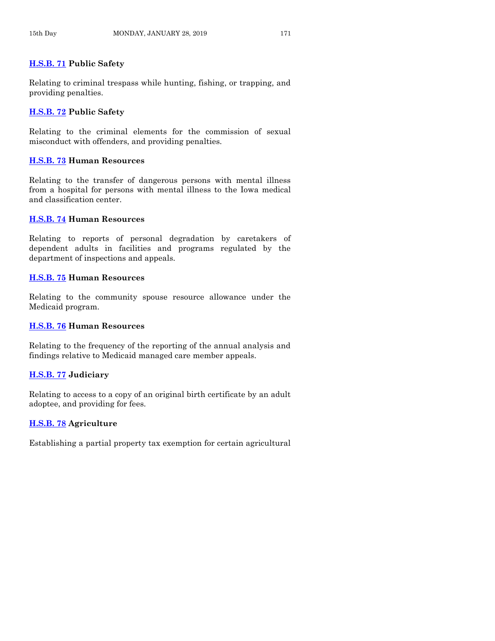## **[H.S.B. 71](https://www.legis.iowa.gov/legislation/BillBook?ga=88&ba=HSB71) Public Safety**

Relating to criminal trespass while hunting, fishing, or trapping, and providing penalties.

## **[H.S.B. 72](https://www.legis.iowa.gov/legislation/BillBook?ga=88&ba=HSB72) Public Safety**

Relating to the criminal elements for the commission of sexual misconduct with offenders, and providing penalties.

## **[H.S.B. 73](https://www.legis.iowa.gov/legislation/BillBook?ga=88&ba=HSB73) Human Resources**

Relating to the transfer of dangerous persons with mental illness from a hospital for persons with mental illness to the Iowa medical and classification center.

## **[H.S.B. 74](https://www.legis.iowa.gov/legislation/BillBook?ga=88&ba=HSB74) Human Resources**

Relating to reports of personal degradation by caretakers of dependent adults in facilities and programs regulated by the department of inspections and appeals.

## **[H.S.B. 75](https://www.legis.iowa.gov/legislation/BillBook?ga=88&ba=HSB75) Human Resources**

Relating to the community spouse resource allowance under the Medicaid program.

## **[H.S.B. 76](https://www.legis.iowa.gov/legislation/BillBook?ga=88&ba=HSB76) Human Resources**

Relating to the frequency of the reporting of the annual analysis and findings relative to Medicaid managed care member appeals.

## **[H.S.B. 77](https://www.legis.iowa.gov/legislation/BillBook?ga=88&ba=HSB77) Judiciary**

Relating to access to a copy of an original birth certificate by an adult adoptee, and providing for fees.

## **[H.S.B. 78](https://www.legis.iowa.gov/legislation/BillBook?ga=88&ba=HSB78) Agriculture**

Establishing a partial property tax exemption for certain agricultural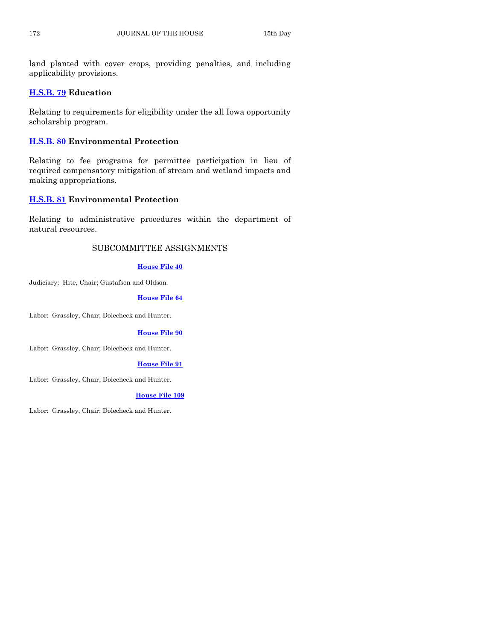land planted with cover crops, providing penalties, and including applicability provisions.

## **[H.S.B. 79](https://www.legis.iowa.gov/legislation/BillBook?ga=88&ba=HSB79) Education**

Relating to requirements for eligibility under the all Iowa opportunity scholarship program.

## **[H.S.B. 80](https://www.legis.iowa.gov/legislation/BillBook?ga=88&ba=HSB80) Environmental Protection**

Relating to fee programs for permittee participation in lieu of required compensatory mitigation of stream and wetland impacts and making appropriations.

## **[H.S.B. 81](https://www.legis.iowa.gov/legislation/BillBook?ga=88&ba=HSB81) Environmental Protection**

Relating to administrative procedures within the department of natural resources.

## SUBCOMMITTEE ASSIGNMENTS

#### **[House File 40](https://www.legis.iowa.gov/legislation/BillBook?ga=88&ba=HF40)**

Judiciary: Hite, Chair; Gustafson and Oldson.

## **[House File](https://www.legis.iowa.gov/legislation/BillBook?ga=88&ba=HF64) 64**

Labor: Grassley, Chair; Dolecheck and Hunter.

#### **[House File 90](https://www.legis.iowa.gov/legislation/BillBook?ga=88&ba=HF90)**

Labor: Grassley, Chair; Dolecheck and Hunter.

#### **[House File 91](https://www.legis.iowa.gov/legislation/BillBook?ga=88&ba=HF91)**

Labor: Grassley, Chair; Dolecheck and Hunter.

#### **[House File 109](https://www.legis.iowa.gov/legislation/BillBook?ga=88&ba=HF109)**

Labor: Grassley, Chair; Dolecheck and Hunter.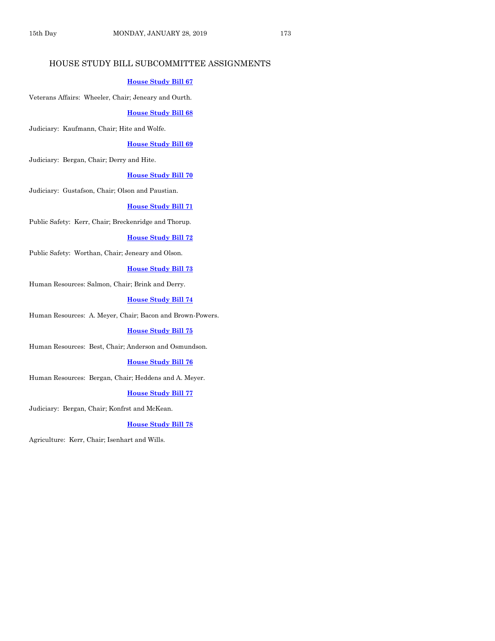## HOUSE STUDY BILL SUBCOMMITTEE ASSIGNMENTS

#### **[House Study Bill 67](https://www.legis.iowa.gov/legislation/BillBook?ga=88&ba=HSB67)**

Veterans Affairs: Wheeler, Chair; Jeneary and Ourth.

#### **[House Study Bill 68](https://www.legis.iowa.gov/legislation/BillBook?ga=88&ba=HSB68)**

Judiciary: Kaufmann, Chair; Hite and Wolfe.

#### **[House Study Bill 69](https://www.legis.iowa.gov/legislation/BillBook?ga=88&ba=HSB69)**

Judiciary: Bergan, Chair; Derry and Hite.

#### **[House Study Bill 70](https://www.legis.iowa.gov/legislation/BillBook?ga=88&ba=HSB70)**

Judiciary: Gustafson, Chair; Olson and Paustian.

#### **[House Study Bill 71](https://www.legis.iowa.gov/legislation/BillBook?ga=88&ba=HSB71)**

Public Safety: Kerr, Chair; Breckenridge and Thorup.

#### **[House Study Bill 72](https://www.legis.iowa.gov/legislation/BillBook?ga=88&ba=HSB72)**

Public Safety: Worthan, Chair; Jeneary and Olson.

#### **[House Study Bill 73](https://www.legis.iowa.gov/legislation/BillBook?ga=88&ba=HSB73)**

Human Resources: Salmon, Chair; Brink and Derry.

#### **[House Study Bill 74](https://www.legis.iowa.gov/legislation/BillBook?ga=88&ba=HSB74)**

Human Resources: A. Meyer, Chair; Bacon and Brown-Powers.

#### **[House Study Bill 75](https://www.legis.iowa.gov/legislation/BillBook?ga=88&ba=HSB75)**

Human Resources: Best, Chair; Anderson and Osmundson.

#### **[House Study Bill 76](https://www.legis.iowa.gov/legislation/BillBook?ga=88&ba=HSB76)**

Human Resources: Bergan, Chair; Heddens and A. Meyer.

#### **[House Study Bill 77](https://www.legis.iowa.gov/legislation/BillBook?ga=88&ba=HSB77)**

Judiciary: Bergan, Chair; Konfrst and McKean.

#### **[House Study Bill 78](https://www.legis.iowa.gov/legislation/BillBook?ga=88&ba=HSB78)**

Agriculture: Kerr, Chair; Isenhart and Wills.